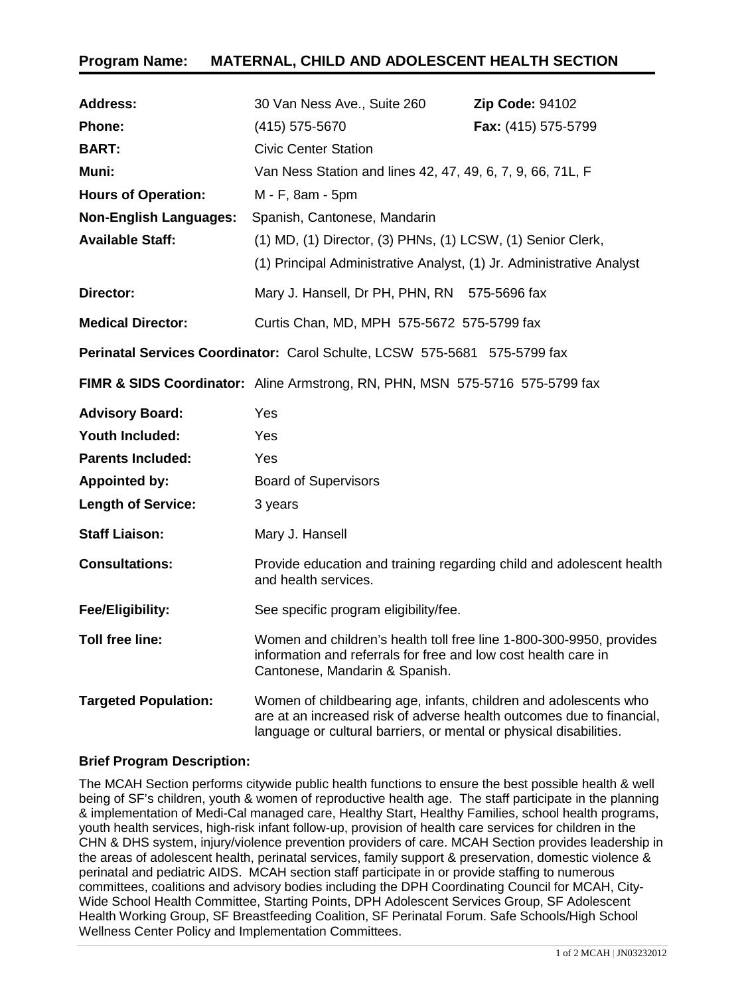# **Program Name: MATERNAL, CHILD AND ADOLESCENT HEALTH SECTION**

| <b>Address:</b>                                                           | 30 Van Ness Ave., Suite 260                                                                                                                                                                                     | <b>Zip Code: 94102</b> |
|---------------------------------------------------------------------------|-----------------------------------------------------------------------------------------------------------------------------------------------------------------------------------------------------------------|------------------------|
| <b>Phone:</b>                                                             | (415) 575-5670                                                                                                                                                                                                  | Fax: (415) 575-5799    |
| <b>BART:</b>                                                              | <b>Civic Center Station</b>                                                                                                                                                                                     |                        |
| Muni:                                                                     | Van Ness Station and lines 42, 47, 49, 6, 7, 9, 66, 71L, F                                                                                                                                                      |                        |
| <b>Hours of Operation:</b>                                                | M - F, 8am - 5pm                                                                                                                                                                                                |                        |
| <b>Non-English Languages:</b>                                             | Spanish, Cantonese, Mandarin                                                                                                                                                                                    |                        |
| <b>Available Staff:</b>                                                   | (1) MD, (1) Director, (3) PHNs, (1) LCSW, (1) Senior Clerk,                                                                                                                                                     |                        |
|                                                                           | (1) Principal Administrative Analyst, (1) Jr. Administrative Analyst                                                                                                                                            |                        |
| Director:                                                                 | Mary J. Hansell, Dr PH, PHN, RN 575-5696 fax                                                                                                                                                                    |                        |
| <b>Medical Director:</b>                                                  | Curtis Chan, MD, MPH 575-5672 575-5799 fax                                                                                                                                                                      |                        |
| Perinatal Services Coordinator: Carol Schulte, LCSW 575-5681 575-5799 fax |                                                                                                                                                                                                                 |                        |
|                                                                           | FIMR & SIDS Coordinator: Aline Armstrong, RN, PHN, MSN 575-5716 575-5799 fax                                                                                                                                    |                        |
| <b>Advisory Board:</b>                                                    | Yes                                                                                                                                                                                                             |                        |
| <b>Youth Included:</b>                                                    | Yes                                                                                                                                                                                                             |                        |
| <b>Parents Included:</b>                                                  | Yes                                                                                                                                                                                                             |                        |
| <b>Appointed by:</b>                                                      | <b>Board of Supervisors</b>                                                                                                                                                                                     |                        |
| <b>Length of Service:</b>                                                 | 3 years                                                                                                                                                                                                         |                        |
| <b>Staff Liaison:</b>                                                     | Mary J. Hansell                                                                                                                                                                                                 |                        |
| <b>Consultations:</b>                                                     | Provide education and training regarding child and adolescent health<br>and health services.                                                                                                                    |                        |
| Fee/Eligibility:                                                          | See specific program eligibility/fee.                                                                                                                                                                           |                        |
| Toll free line:                                                           | Women and children's health toll free line 1-800-300-9950, provides<br>information and referrals for free and low cost health care in<br>Cantonese, Mandarin & Spanish.                                         |                        |
| <b>Targeted Population:</b>                                               | Women of childbearing age, infants, children and adolescents who<br>are at an increased risk of adverse health outcomes due to financial,<br>language or cultural barriers, or mental or physical disabilities. |                        |

# **Brief Program Description:**

The MCAH Section performs citywide public health functions to ensure the best possible health & well being of SF's children, youth & women of reproductive health age. The staff participate in the planning & implementation of Medi-Cal managed care, Healthy Start, Healthy Families, school health programs, youth health services, high-risk infant follow-up, provision of health care services for children in the CHN & DHS system, injury/violence prevention providers of care. MCAH Section provides leadership in the areas of adolescent health, perinatal services, family support & preservation, domestic violence & perinatal and pediatric AIDS. MCAH section staff participate in or provide staffing to numerous committees, coalitions and advisory bodies including the DPH Coordinating Council for MCAH, City-Wide School Health Committee, Starting Points, DPH Adolescent Services Group, SF Adolescent Health Working Group, SF Breastfeeding Coalition, SF Perinatal Forum. Safe Schools/High School Wellness Center Policy and Implementation Committees.